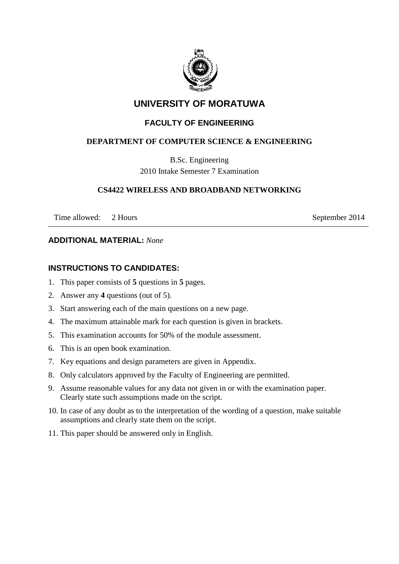

# **UNIVERSITY OF MORATUWA**

## **FACULTY OF ENGINEERING**

## **DEPARTMENT OF COMPUTER SCIENCE & ENGINEERING**

B.Sc. Engineering 2010 Intake Semester 7 Examination

### **CS4422 WIRELESS AND BROADBAND NETWORKING**

Time allowed: 2 Hours September 2014

#### **ADDITIONAL MATERIAL:** *None*

## **INSTRUCTIONS TO CANDIDATES:**

- 1. This paper consists of **5** questions in **5** pages.
- 2. Answer any **4** questions (out of 5).
- 3. Start answering each of the main questions on a new page.
- 4. The maximum attainable mark for each question is given in brackets.
- 5. This examination accounts for 50% of the module assessment.
- 6. This is an open book examination.
- 7. Key equations and design parameters are given in Appendix.
- 8. Only calculators approved by the Faculty of Engineering are permitted.
- 9. Assume reasonable values for any data not given in or with the examination paper. Clearly state such assumptions made on the script.
- 10. In case of any doubt as to the interpretation of the wording of a question, make suitable assumptions and clearly state them on the script.
- 11. This paper should be answered only in English.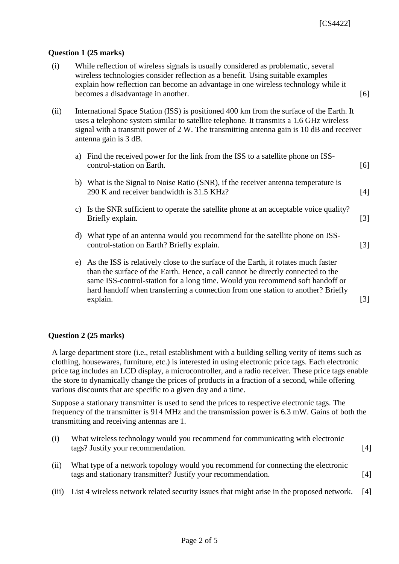#### **Question 1 (25 marks)**

- (i) While reflection of wireless signals is usually considered as problematic, several wireless technologies consider reflection as a benefit. Using suitable examples explain how reflection can become an advantage in one wireless technology while it becomes a disadvantage in another. [6] **becomes** a disadvantage in another.
- (ii) International Space Station (ISS) is positioned 400 km from the surface of the Earth. It uses a telephone system similar to satellite telephone. It transmits a 1.6 GHz wireless signal with a transmit power of 2 W. The transmitting antenna gain is 10 dB and receiver antenna gain is 3 dB.
	- a) Find the received power for the link from the ISS to a satellite phone on ISScontrol-station on Earth. [6]
	- b) What is the Signal to Noise Ratio (SNR), if the receiver antenna temperature is 290 K and receiver bandwidth is 31.5 KHz? [4]
	- c) Is the SNR sufficient to operate the satellite phone at an acceptable voice quality? Briefly explain. [3] [3]
	- d) What type of an antenna would you recommend for the satellite phone on ISScontrol-station on Earth? Briefly explain. [3]
	- e) As the ISS is relatively close to the surface of the Earth, it rotates much faster than the surface of the Earth. Hence, a call cannot be directly connected to the same ISS-control-station for a long time. Would you recommend soft handoff or hard handoff when transferring a connection from one station to another? Briefly explain. [3]

#### **Question 2 (25 marks)**

A large department store (i.e., retail establishment with a building selling verity of items such as clothing, housewares, furniture, etc.) is interested in using electronic price tags. Each electronic price tag includes an LCD display, a microcontroller, and a radio receiver. These price tags enable the store to dynamically change the prices of products in a fraction of a second, while offering various discounts that are specific to a given day and a time.

Suppose a stationary transmitter is used to send the prices to respective electronic tags. The frequency of the transmitter is 914 MHz and the transmission power is 6.3 mW. Gains of both the transmitting and receiving antennas are 1.

- (i) What wireless technology would you recommend for communicating with electronic tags? Justify your recommendation. [4]
- (ii) What type of a network topology would you recommend for connecting the electronic tags and stationary transmitter? Justify your recommendation. [4]
- (iii) List 4 wireless network related security issues that might arise in the proposed network. [4]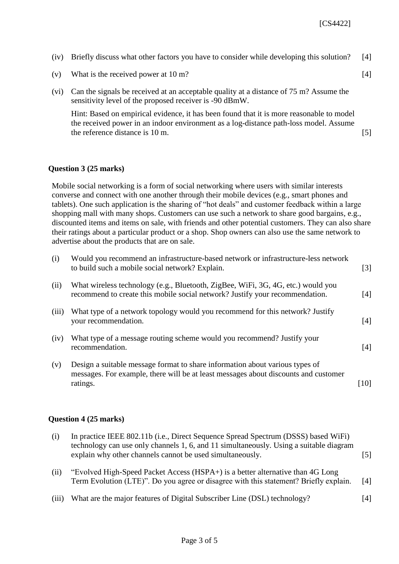|  | (iv) Briefly discuss what other factors you have to consider while developing this solution? [4] |  |  |  |
|--|--------------------------------------------------------------------------------------------------|--|--|--|
|  |                                                                                                  |  |  |  |

- (v) What is the received power at 10 m? [4]
- (vi) Can the signals be received at an acceptable quality at a distance of 75 m? Assume the sensitivity level of the proposed receiver is -90 dBmW.

Hint: Based on empirical evidence, it has been found that it is more reasonable to model the received power in an indoor environment as a log-distance path-loss model. Assume the reference distance is  $10 \text{ m}$ . [5]

#### **Question 3 (25 marks)**

Mobile social networking is a form of social networking where users with similar interests converse and connect with one another through their mobile devices (e.g., smart phones and tablets). One such application is the sharing of "hot deals" and customer feedback within a large shopping mall with many shops. Customers can use such a network to share good bargains, e.g., discounted items and items on sale, with friends and other potential customers. They can also share their ratings about a particular product or a shop. Shop owners can also use the same network to advertise about the products that are on sale.

| (i)   | Would you recommend an infrastructure-based network or infrastructure-less network<br>to build such a mobile social network? Explain.                                           | $\lceil 3 \rceil$ |
|-------|---------------------------------------------------------------------------------------------------------------------------------------------------------------------------------|-------------------|
| (ii)  | What wireless technology (e.g., Bluetooth, ZigBee, WiFi, 3G, 4G, etc.) would you<br>recommend to create this mobile social network? Justify your recommendation.                | [4]               |
| (iii) | What type of a network topology would you recommend for this network? Justify<br>your recommendation.                                                                           | [4]               |
| (iv)  | What type of a message routing scheme would you recommend? Justify your<br>recommendation.                                                                                      | [4]               |
| (v)   | Design a suitable message format to share information about various types of<br>messages. For example, there will be at least messages about discounts and customer<br>ratings. | [10]              |

#### **Question 4 (25 marks)**

| (i)   | In practice IEEE 802.11b (i.e., Direct Sequence Spread Spectrum (DSSS) based WiFi)<br>technology can use only channels 1, 6, and 11 simultaneously. Using a suitable diagram<br>explain why other channels cannot be used simultaneously. |     |
|-------|-------------------------------------------------------------------------------------------------------------------------------------------------------------------------------------------------------------------------------------------|-----|
| (ii)  | "Evolved High-Speed Packet Access (HSPA+) is a better alternative than 4G Long<br>Term Evolution (LTE)". Do you agree or disagree with this statement? Briefly explain.                                                                   | [4] |
| (iii) | What are the major features of Digital Subscriber Line (DSL) technology?                                                                                                                                                                  | [4] |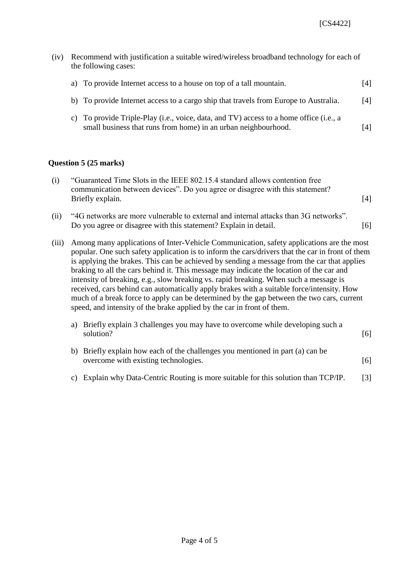(iv) Recommend with justification a suitable wired/wireless broadband technology for each of the following cases:

| a) To provide Internet access to a house on top of a tall mountain.                                                                                      | [4] |
|----------------------------------------------------------------------------------------------------------------------------------------------------------|-----|
| b) To provide Internet access to a cargo ship that travels from Europe to Australia.                                                                     | [4] |
| c) To provide Triple-Play (i.e., voice, data, and TV) access to a home office (i.e., a<br>small business that runs from home) in an urban neighbourhood. | [4] |

#### **Question 5 (25 marks)**

| (i) | "Guaranteed Time Slots in the IEEE 802.15.4 standard allows contention free   |     |
|-----|-------------------------------------------------------------------------------|-----|
|     | communication between devices". Do you agree or disagree with this statement? |     |
|     | Briefly explain.                                                              | [4] |

- (ii) "4G networks are more vulnerable to external and internal attacks than 3G networks". Do you agree or disagree with this statement? Explain in detail. [6]
- (iii) Among many applications of Inter-Vehicle Communication, safety applications are the most popular. One such safety application is to inform the cars/drivers that the car in front of them is applying the brakes. This can be achieved by sending a message from the car that applies braking to all the cars behind it. This message may indicate the location of the car and intensity of breaking, e.g., slow breaking vs. rapid breaking. When such a message is received, cars behind can automatically apply brakes with a suitable force/intensity. How much of a break force to apply can be determined by the gap between the two cars, current speed, and intensity of the brake applied by the car in front of them.

| a) Briefly explain 3 challenges you may have to overcome while developing such a |  |
|----------------------------------------------------------------------------------|--|
| solution?                                                                        |  |

- b) Briefly explain how each of the challenges you mentioned in part (a) can be overcome with existing technologies. [6]
- c) Explain why Data-Centric Routing is more suitable for this solution than TCP/IP. [3]